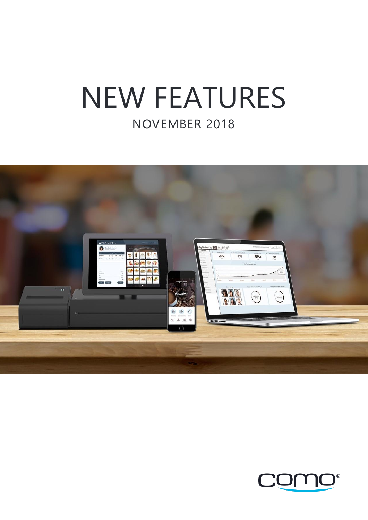# NEW FEATURES NOVEMBER 2018



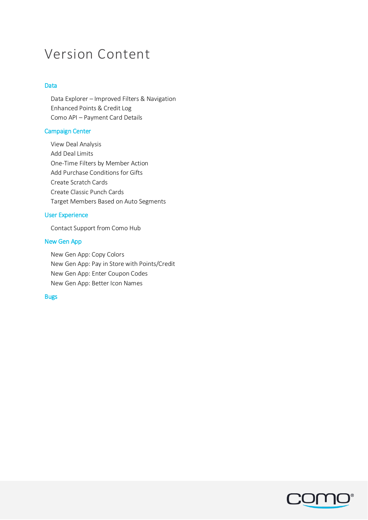# Version Content

#### [Data](#page-2-0)

Data Explorer – [Improved Filters & Navigation](#page-2-1) [Enhanced Points & Credit Log](#page-2-2) Como API – [Payment Card Details](#page-2-3)

#### [Campaign Center](#page-2-4)

[View Deal Analysis](#page-2-5) [Add Deal Limits](#page-3-0) [One-Time Filters by Member Action](#page-3-1) [Add Purchase Conditions for Gifts](#page-3-2) [Create Scratch Cards](#page-3-3) [Create Classic Punch Cards](#page-3-4) [Target Members Based on Auto Segments](#page-3-5)

#### [User Experience](#page-4-0)

[Contact Support from Como Hub](#page-4-1)

#### [New Gen App](#page-4-2)

[New Gen App: Copy Colors](#page-4-3) [New Gen App: Pay in Store with Points/Credit](#page-4-4) [New Gen App: Enter Coupon Codes](#page-5-0) [New Gen App: Better Icon Names](#page-5-1)

#### [Bugs](#page-5-2)

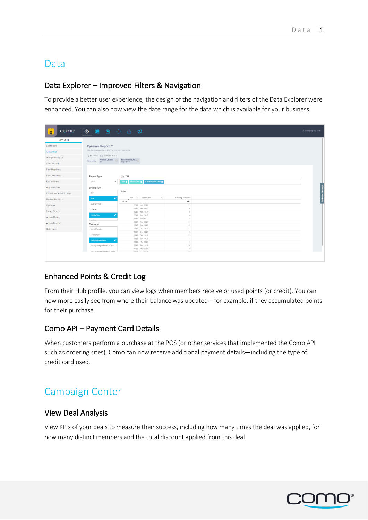## <span id="page-2-0"></span>Data

### <span id="page-2-1"></span>Data Explorer – Improved Filters & Navigation

To provide a better user experience, the design of the navigation and filters of the Data Explorer were enhanced. You can also now view the date range for the data which is available for your business.

| Data & BI<br>Dashboard<br>Dynamic Report ▼<br>The data is relevant for 1/10/2017 to 11/11/2018 9:00:00 PM<br><b>Qlik Sense</b><br><b>Y FILTERS EXITEMPLATES</b> -<br><b>Google Analytics</b><br>Member_Status $\bigcirc$<br>Membership_Re<br>Filtered by<br>registered<br>Data Wizard<br><b>Find Members</b><br><b>Filter Members</b><br>$\odot$ $\rightarrow$<br><b>Report Type</b><br>Month-Year @ # Buying Members @<br><b>Export Users</b><br>Sales<br>Year o<br>$\boldsymbol{\mathrm{v}}$<br>App Feedback<br>Breakdown<br>Sales<br>Date<br>Import Membership keys<br>Year Q Month-Year<br>$\alpha$<br># Buying Members<br>Year<br><b>Review Receipts</b><br>1,901<br>Totals<br>Quarter-Year<br>2017 Nov 2017<br>13<br><b>ID Codes</b><br>2017 May 2017<br>6<br>Quarter<br><b>Forms Results</b><br>2017 Apr 2017<br>R.<br>Month-Year<br>2017 Jun 2017<br><b>Action History</b><br>2017 Jul 2017<br>$\overline{h}$<br>Advantis.<br>14<br>2017 Aug 2017<br><b>Action Monitor</b><br>Measures<br>2017 Sep 2017<br>13<br>27<br>2017 Oct 2017<br>Data Labs<br>Sales (Ticket)<br>2017 Dec 2017<br>5<br>Sales (Item)<br>12<br>2018 Feb 2018<br>2018 Jan 2018<br>$\overline{7}$<br># Buying Members<br>2018 Mar 2018<br>$\overline{2}$<br>10<br>2018 Apr 2018<br>Avg. Spend per Member (Tick | COWO <sup>®</sup> | $\hat{\mathbf{E}}$<br>t<br>$\circledcirc$ | $\begin{array}{ccccccccc} \circ & \circ & \circ & \circ & \circ \end{array}$ |  |  |  |  | & ben@zipory.com |
|------------------------------------------------------------------------------------------------------------------------------------------------------------------------------------------------------------------------------------------------------------------------------------------------------------------------------------------------------------------------------------------------------------------------------------------------------------------------------------------------------------------------------------------------------------------------------------------------------------------------------------------------------------------------------------------------------------------------------------------------------------------------------------------------------------------------------------------------------------------------------------------------------------------------------------------------------------------------------------------------------------------------------------------------------------------------------------------------------------------------------------------------------------------------------------------------------------------------------------------------------------------------------------------|-------------------|-------------------------------------------|------------------------------------------------------------------------------|--|--|--|--|------------------|
|                                                                                                                                                                                                                                                                                                                                                                                                                                                                                                                                                                                                                                                                                                                                                                                                                                                                                                                                                                                                                                                                                                                                                                                                                                                                                          |                   |                                           |                                                                              |  |  |  |  |                  |
|                                                                                                                                                                                                                                                                                                                                                                                                                                                                                                                                                                                                                                                                                                                                                                                                                                                                                                                                                                                                                                                                                                                                                                                                                                                                                          |                   |                                           |                                                                              |  |  |  |  |                  |
|                                                                                                                                                                                                                                                                                                                                                                                                                                                                                                                                                                                                                                                                                                                                                                                                                                                                                                                                                                                                                                                                                                                                                                                                                                                                                          |                   |                                           |                                                                              |  |  |  |  |                  |
|                                                                                                                                                                                                                                                                                                                                                                                                                                                                                                                                                                                                                                                                                                                                                                                                                                                                                                                                                                                                                                                                                                                                                                                                                                                                                          |                   |                                           |                                                                              |  |  |  |  |                  |
|                                                                                                                                                                                                                                                                                                                                                                                                                                                                                                                                                                                                                                                                                                                                                                                                                                                                                                                                                                                                                                                                                                                                                                                                                                                                                          |                   |                                           |                                                                              |  |  |  |  |                  |
|                                                                                                                                                                                                                                                                                                                                                                                                                                                                                                                                                                                                                                                                                                                                                                                                                                                                                                                                                                                                                                                                                                                                                                                                                                                                                          |                   |                                           |                                                                              |  |  |  |  |                  |
|                                                                                                                                                                                                                                                                                                                                                                                                                                                                                                                                                                                                                                                                                                                                                                                                                                                                                                                                                                                                                                                                                                                                                                                                                                                                                          |                   |                                           |                                                                              |  |  |  |  |                  |
|                                                                                                                                                                                                                                                                                                                                                                                                                                                                                                                                                                                                                                                                                                                                                                                                                                                                                                                                                                                                                                                                                                                                                                                                                                                                                          |                   |                                           |                                                                              |  |  |  |  |                  |
|                                                                                                                                                                                                                                                                                                                                                                                                                                                                                                                                                                                                                                                                                                                                                                                                                                                                                                                                                                                                                                                                                                                                                                                                                                                                                          |                   |                                           |                                                                              |  |  |  |  |                  |
|                                                                                                                                                                                                                                                                                                                                                                                                                                                                                                                                                                                                                                                                                                                                                                                                                                                                                                                                                                                                                                                                                                                                                                                                                                                                                          |                   |                                           |                                                                              |  |  |  |  | Walk Me Through  |
|                                                                                                                                                                                                                                                                                                                                                                                                                                                                                                                                                                                                                                                                                                                                                                                                                                                                                                                                                                                                                                                                                                                                                                                                                                                                                          |                   |                                           |                                                                              |  |  |  |  |                  |
|                                                                                                                                                                                                                                                                                                                                                                                                                                                                                                                                                                                                                                                                                                                                                                                                                                                                                                                                                                                                                                                                                                                                                                                                                                                                                          |                   |                                           |                                                                              |  |  |  |  |                  |
|                                                                                                                                                                                                                                                                                                                                                                                                                                                                                                                                                                                                                                                                                                                                                                                                                                                                                                                                                                                                                                                                                                                                                                                                                                                                                          |                   |                                           |                                                                              |  |  |  |  |                  |
|                                                                                                                                                                                                                                                                                                                                                                                                                                                                                                                                                                                                                                                                                                                                                                                                                                                                                                                                                                                                                                                                                                                                                                                                                                                                                          |                   |                                           |                                                                              |  |  |  |  |                  |
|                                                                                                                                                                                                                                                                                                                                                                                                                                                                                                                                                                                                                                                                                                                                                                                                                                                                                                                                                                                                                                                                                                                                                                                                                                                                                          |                   |                                           |                                                                              |  |  |  |  |                  |
|                                                                                                                                                                                                                                                                                                                                                                                                                                                                                                                                                                                                                                                                                                                                                                                                                                                                                                                                                                                                                                                                                                                                                                                                                                                                                          |                   |                                           |                                                                              |  |  |  |  |                  |
|                                                                                                                                                                                                                                                                                                                                                                                                                                                                                                                                                                                                                                                                                                                                                                                                                                                                                                                                                                                                                                                                                                                                                                                                                                                                                          |                   |                                           |                                                                              |  |  |  |  |                  |
|                                                                                                                                                                                                                                                                                                                                                                                                                                                                                                                                                                                                                                                                                                                                                                                                                                                                                                                                                                                                                                                                                                                                                                                                                                                                                          |                   |                                           |                                                                              |  |  |  |  |                  |
|                                                                                                                                                                                                                                                                                                                                                                                                                                                                                                                                                                                                                                                                                                                                                                                                                                                                                                                                                                                                                                                                                                                                                                                                                                                                                          |                   |                                           |                                                                              |  |  |  |  |                  |
|                                                                                                                                                                                                                                                                                                                                                                                                                                                                                                                                                                                                                                                                                                                                                                                                                                                                                                                                                                                                                                                                                                                                                                                                                                                                                          |                   |                                           |                                                                              |  |  |  |  |                  |
|                                                                                                                                                                                                                                                                                                                                                                                                                                                                                                                                                                                                                                                                                                                                                                                                                                                                                                                                                                                                                                                                                                                                                                                                                                                                                          |                   |                                           |                                                                              |  |  |  |  |                  |
|                                                                                                                                                                                                                                                                                                                                                                                                                                                                                                                                                                                                                                                                                                                                                                                                                                                                                                                                                                                                                                                                                                                                                                                                                                                                                          |                   |                                           |                                                                              |  |  |  |  |                  |
|                                                                                                                                                                                                                                                                                                                                                                                                                                                                                                                                                                                                                                                                                                                                                                                                                                                                                                                                                                                                                                                                                                                                                                                                                                                                                          |                   |                                           |                                                                              |  |  |  |  |                  |
|                                                                                                                                                                                                                                                                                                                                                                                                                                                                                                                                                                                                                                                                                                                                                                                                                                                                                                                                                                                                                                                                                                                                                                                                                                                                                          |                   |                                           |                                                                              |  |  |  |  |                  |
| 2018 May 2018                                                                                                                                                                                                                                                                                                                                                                                                                                                                                                                                                                                                                                                                                                                                                                                                                                                                                                                                                                                                                                                                                                                                                                                                                                                                            |                   |                                           |                                                                              |  |  |  |  |                  |
| Aus Snand nar Mamhar (Tram)<br>AAAA I AAAA                                                                                                                                                                                                                                                                                                                                                                                                                                                                                                                                                                                                                                                                                                                                                                                                                                                                                                                                                                                                                                                                                                                                                                                                                                               |                   |                                           |                                                                              |  |  |  |  |                  |

## <span id="page-2-2"></span>Enhanced Points & Credit Log

From their Hub profile, you can view logs when members receive or used points (or credit). You can now more easily see from where their balance was updated—for example, if they accumulated points for their purchase.

## <span id="page-2-3"></span>Como API – Payment Card Details

When customers perform a purchase at the POS (or other services that implemented the Como API such as ordering sites), Como can now receive additional payment details—including the type of credit card used.

## <span id="page-2-4"></span>Campaign Center

### <span id="page-2-5"></span>View Deal Analysis

View KPIs of your deals to measure their success, including how many times the deal was applied, for how many distinct members and the total discount applied from this deal.

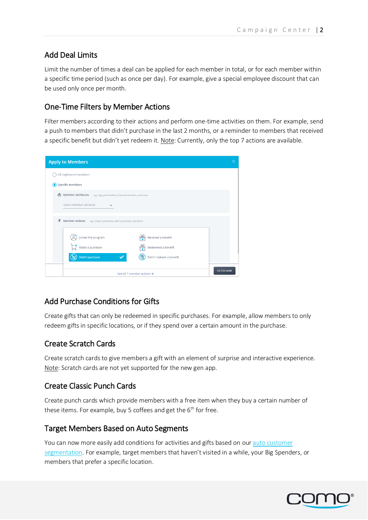## <span id="page-3-0"></span>Add Deal Limits

Limit the number of times a deal can be applied for each member in total, or for each member within a specific time period (such as once per day). For example, give a special employee discount that can be used only once per month.

#### <span id="page-3-1"></span>One-Time Filters by Member Actions

Filter members according to their actions and perform one-time activities on them. For example, send a push to members that didn't purchase in the last 2 months, or a reminder to members that received a specific benefit but didn't yet redeem it. Note: Currently, only the top 7 actions are available.

| <b>Apply to Members</b>                                                      |                   |  |  |  |  |  |  |
|------------------------------------------------------------------------------|-------------------|--|--|--|--|--|--|
| All registered members                                                       |                   |  |  |  |  |  |  |
| Specific members<br>O                                                        |                   |  |  |  |  |  |  |
| 向 Member attributes<br>e.g., tag, point balance, favorite location, and more |                   |  |  |  |  |  |  |
| Select member attribute                                                      |                   |  |  |  |  |  |  |
| <b>ネ</b> Member actions<br>e.g., made a purchase, didn't purchase, and more  |                   |  |  |  |  |  |  |
| Joined the program<br>Received a benefit                                     |                   |  |  |  |  |  |  |
| $\begin{bmatrix} 1 \\ 2 \end{bmatrix}$ Made a purchase<br>Redeemed a benefit |                   |  |  |  |  |  |  |
| Didn't purchase<br>Didn't redeem a benefit                                   |                   |  |  |  |  |  |  |
| See all 7 member actions $\approx$                                           | <b>FILTER NOW</b> |  |  |  |  |  |  |

## <span id="page-3-2"></span>Add Purchase Conditions for Gifts

Create gifts that can only be redeemed in specific purchases. For example, allow members to only redeem gifts in specific locations, or if they spend over a certain amount in the purchase.

### <span id="page-3-3"></span>Create Scratch Cards

Create scratch cards to give members a gift with an element of surprise and interactive experience. Note: Scratch cards are not yet supported for the new gen app.

### <span id="page-3-4"></span>Create Classic Punch Cards

Create punch cards which provide members with a free item when they buy a certain number of these items. For example, buy 5 coffees and get the  $6<sup>th</sup>$  for free.

### <span id="page-3-5"></span>Target Members Based on Auto Segments

You can now more easily add conditions for activities and gifts based on our [auto customer](https://knowledge.como.com/hc/en-us/articles/360004224314-Auto-Customer-Segmentation)  [segmentation.](https://knowledge.como.com/hc/en-us/articles/360004224314-Auto-Customer-Segmentation) For example, target members that haven't visited in a while, your Big Spenders, or members that prefer a specific location.

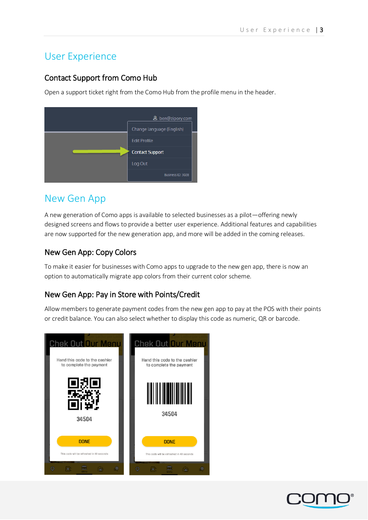## <span id="page-4-0"></span>User Experience

#### <span id="page-4-1"></span>Contact Support from Como Hub

Open a support ticket right from the Como Hub from the profile menu in the header.

| & ben@zipory.com          |
|---------------------------|
| Change language (English) |
| <b>Edit Profile</b>       |
| <b>Contact Support</b>    |
| Log Out                   |
| Business ID: 3028         |

## <span id="page-4-2"></span>New Gen App

A new generation of Como apps is available to selected businesses as a pilot—offering newly designed screens and flows to provide a better user experience. Additional features and capabilities are now supported for the new generation app, and more will be added in the coming releases.

#### <span id="page-4-3"></span>New Gen App: Copy Colors

To make it easier for businesses with Como apps to upgrade to the new gen app, there is now an option to automatically migrate app colors from their current color scheme.

### <span id="page-4-4"></span>New Gen App: Pay in Store with Points/Credit

Allow members to generate payment codes from the new gen app to pay at the POS with their points or credit balance. You can also select whether to display this code as numeric, QR or barcode.



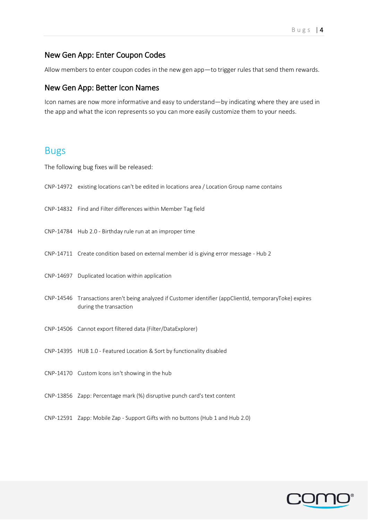#### B u g s | 4

#### <span id="page-5-0"></span>New Gen App: Enter Coupon Codes

Allow members to enter coupon codes in the new gen app—to trigger rules that send them rewards.

#### <span id="page-5-1"></span>New Gen App: Better Icon Names

Icon names are now more informative and easy to understand—by indicating where they are used in the app and what the icon represents so you can more easily customize them to your needs.

#### <span id="page-5-2"></span>Bugs

The following bug fixes will be released:

- CNP-14972 existing locations can't be edited in locations area / Location Group name contains
- CNP-14832 Find and Filter differences within Member Tag field
- CNP-14784 Hub 2.0 Birthday rule run at an improper time
- CNP-14711 Create condition based on external member id is giving error message Hub 2
- CNP-14697 Duplicated location within application
- CNP-14546 Transactions aren't being analyzed if Customer identifier (appClientId, temporaryToke) expires during the transaction
- CNP-14506 Cannot export filtered data (Filter/DataExplorer)
- CNP-14395 HUB 1.0 Featured Location & Sort by functionality disabled
- CNP-14170 Custom Icons isn't showing in the hub
- CNP-13856 Zapp: Percentage mark (%) disruptive punch card's text content
- CNP-12591 Zapp: Mobile Zap Support Gifts with no buttons (Hub 1 and Hub 2.0)